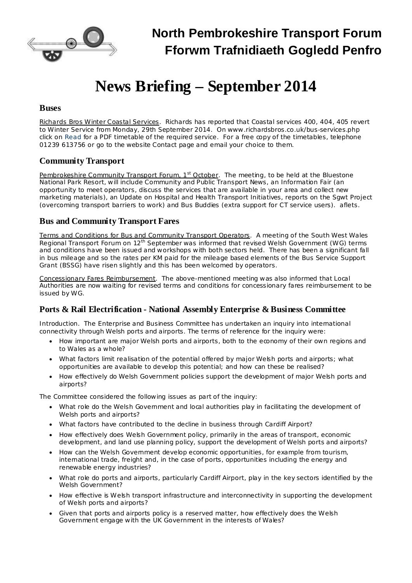

# **News Briefing – September 2014**

#### **Buses**

Richards Bros Winter Coastal Services. Richards has reported that Coastal services 400, 404, 405 revert to Winter Service from Monday, 29th September 2014. On [www.richardsbros.co.uk/bus-services.php](http://www.richardsbros.co.uk/bus-services.php) click on Read for a PDF timetable of the required service. For a free copy of the timetables, telephone 01239 613756 or go to the website Contact page and email your choice to them.

# **Community Transport**

Pembrokeshire Community Transport Forum, 1<sup>st</sup> October</u>. The meeting, to be held at the Bluestone National Park Resort, will include Community and Public Transport News, an Information Fair (an opportunity to meet operators, discuss the services that are available in your area and collect new marketing materials), an Update on Hospital and Health Transport Initiatives, reports on the Sgwt Project (overcoming transport barriers to work) and Bus Buddies (extra support for CT service users). aflets.

# **Bus and Community Transport Fares**

Terms and Conditions for Bus and Community Transport Operators. A meeting of the South West Wales Regional Transport Forum on 12<sup>th</sup> September was informed that revised Welsh Government (WG) terms and conditions have been issued and workshops with both sectors held. There has been a significant fall in bus mileage and so the rates per KM paid for the mileage based elements of the Bus Service Support Grant (BSSG) have risen slightly and this has been welcomed by operators.

Concessionary Fares Reimbursement. The above-mentioned meeting was also informed that Local Authorities are now waiting for revised terms and conditions for concessionary fares reimbursement to be issued by WG.

# **Ports & Rail Electrification - National Assembly Enterprise & Business Committee**

*Introduction.* The Enterprise and Business [Committee](http://www.senedd.assemblywales.org/mgCommitteeDetails.aspx?ID=228) has undertaken an inquiry into international connectivity through Welsh ports and airports. The terms of reference for the inquiry were:

- · How important are major Welsh ports and airports, both to the economy of their own regions and to Wales as a whole?
- · What factors limit realisation of the potential offered by major Welsh ports and airports; what opportunities are available to develop this potential; and how can these be realised?
- · How effectively do Welsh Government policies support the development of major Welsh ports and airports?

The Committee considered the following issues as part of the inquiry:

- · What role do the Welsh Government and local authorities play in facilitating the development of Welsh ports and airports?
- · What factors have contributed to the decline in business through Cardiff Airport?
- · How effectively does Welsh Government policy, primarily in the areas of transport, economic development, and land use planning policy, support the development of Welsh ports and airports?
- · How can the Welsh Government develop economic opportunities, for example from tourism, international trade, freight and, in the case of ports, opportunities including the energy and renewable energy industries?
- · What role do ports and airports, particularly Cardiff Airport, play in the key sectors identified by the Welsh Government?
- · How effective is Welsh transport infrastructure and interconnectivity in supporting the development of Welsh ports and airports?
- Given that ports and airports policy is a reserved matter, how effectively does the Welsh Government engage with the UK Government in the interests of Wales?